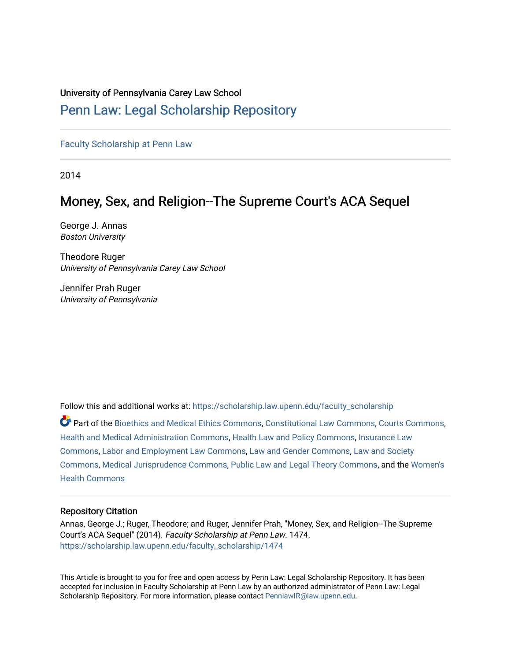## University of Pennsylvania Carey Law School

# [Penn Law: Legal Scholarship Repository](https://scholarship.law.upenn.edu/)

[Faculty Scholarship at Penn Law](https://scholarship.law.upenn.edu/faculty_scholarship)

2014

# Money, Sex, and Religion--The Supreme Court's ACA Sequel

George J. Annas Boston University

Theodore Ruger University of Pennsylvania Carey Law School

Jennifer Prah Ruger University of Pennsylvania

Follow this and additional works at: [https://scholarship.law.upenn.edu/faculty\\_scholarship](https://scholarship.law.upenn.edu/faculty_scholarship?utm_source=scholarship.law.upenn.edu%2Ffaculty_scholarship%2F1474&utm_medium=PDF&utm_campaign=PDFCoverPages) 

Part of the [Bioethics and Medical Ethics Commons,](http://network.bepress.com/hgg/discipline/650?utm_source=scholarship.law.upenn.edu%2Ffaculty_scholarship%2F1474&utm_medium=PDF&utm_campaign=PDFCoverPages) [Constitutional Law Commons,](http://network.bepress.com/hgg/discipline/589?utm_source=scholarship.law.upenn.edu%2Ffaculty_scholarship%2F1474&utm_medium=PDF&utm_campaign=PDFCoverPages) [Courts Commons](http://network.bepress.com/hgg/discipline/839?utm_source=scholarship.law.upenn.edu%2Ffaculty_scholarship%2F1474&utm_medium=PDF&utm_campaign=PDFCoverPages), [Health and Medical Administration Commons](http://network.bepress.com/hgg/discipline/663?utm_source=scholarship.law.upenn.edu%2Ffaculty_scholarship%2F1474&utm_medium=PDF&utm_campaign=PDFCoverPages), [Health Law and Policy Commons](http://network.bepress.com/hgg/discipline/901?utm_source=scholarship.law.upenn.edu%2Ffaculty_scholarship%2F1474&utm_medium=PDF&utm_campaign=PDFCoverPages), [Insurance Law](http://network.bepress.com/hgg/discipline/607?utm_source=scholarship.law.upenn.edu%2Ffaculty_scholarship%2F1474&utm_medium=PDF&utm_campaign=PDFCoverPages) [Commons](http://network.bepress.com/hgg/discipline/607?utm_source=scholarship.law.upenn.edu%2Ffaculty_scholarship%2F1474&utm_medium=PDF&utm_campaign=PDFCoverPages), [Labor and Employment Law Commons,](http://network.bepress.com/hgg/discipline/909?utm_source=scholarship.law.upenn.edu%2Ffaculty_scholarship%2F1474&utm_medium=PDF&utm_campaign=PDFCoverPages) [Law and Gender Commons,](http://network.bepress.com/hgg/discipline/1298?utm_source=scholarship.law.upenn.edu%2Ffaculty_scholarship%2F1474&utm_medium=PDF&utm_campaign=PDFCoverPages) [Law and Society](http://network.bepress.com/hgg/discipline/853?utm_source=scholarship.law.upenn.edu%2Ffaculty_scholarship%2F1474&utm_medium=PDF&utm_campaign=PDFCoverPages) [Commons](http://network.bepress.com/hgg/discipline/853?utm_source=scholarship.law.upenn.edu%2Ffaculty_scholarship%2F1474&utm_medium=PDF&utm_campaign=PDFCoverPages), [Medical Jurisprudence Commons](http://network.bepress.com/hgg/discipline/860?utm_source=scholarship.law.upenn.edu%2Ffaculty_scholarship%2F1474&utm_medium=PDF&utm_campaign=PDFCoverPages), [Public Law and Legal Theory Commons,](http://network.bepress.com/hgg/discipline/871?utm_source=scholarship.law.upenn.edu%2Ffaculty_scholarship%2F1474&utm_medium=PDF&utm_campaign=PDFCoverPages) and the [Women's](http://network.bepress.com/hgg/discipline/1241?utm_source=scholarship.law.upenn.edu%2Ffaculty_scholarship%2F1474&utm_medium=PDF&utm_campaign=PDFCoverPages)  [Health Commons](http://network.bepress.com/hgg/discipline/1241?utm_source=scholarship.law.upenn.edu%2Ffaculty_scholarship%2F1474&utm_medium=PDF&utm_campaign=PDFCoverPages) 

### Repository Citation

Annas, George J.; Ruger, Theodore; and Ruger, Jennifer Prah, "Money, Sex, and Religion--The Supreme Court's ACA Sequel" (2014). Faculty Scholarship at Penn Law. 1474. [https://scholarship.law.upenn.edu/faculty\\_scholarship/1474](https://scholarship.law.upenn.edu/faculty_scholarship/1474?utm_source=scholarship.law.upenn.edu%2Ffaculty_scholarship%2F1474&utm_medium=PDF&utm_campaign=PDFCoverPages)

This Article is brought to you for free and open access by Penn Law: Legal Scholarship Repository. It has been accepted for inclusion in Faculty Scholarship at Penn Law by an authorized administrator of Penn Law: Legal Scholarship Repository. For more information, please contact [PennlawIR@law.upenn.edu.](mailto:PennlawIR@law.upenn.edu)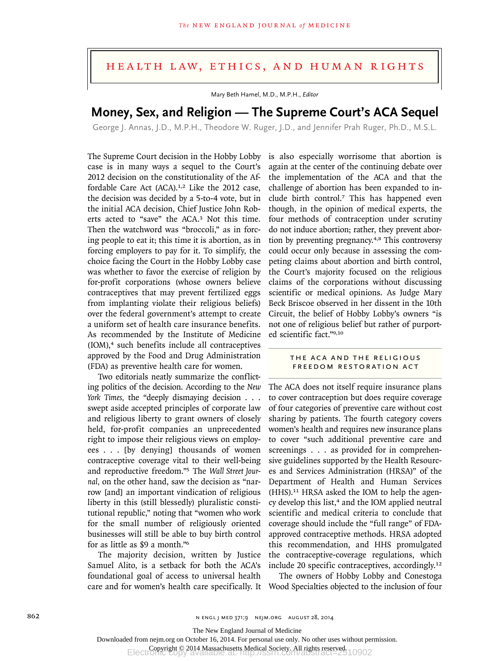## Health Law, Ethics, and Human Rights

Mary Beth Hamel, M.D., M.P.H., *Editor*

# **Money, Sex, and Religion — The Supreme Court's ACA Sequel**

George J. Annas, J.D., M.P.H., Theodore W. Ruger, J.D., and Jennifer Prah Ruger, Ph.D., M.S.L.

The Supreme Court decision in the Hobby Lobby case is in many ways a sequel to the Court's 2012 decision on the constitutionality of the Affordable Care Act (ACA).<sup>1,2</sup> Like the 2012 case, the decision was decided by a 5-to-4 vote, but in the initial ACA decision, Chief Justice John Roberts acted to "save" the ACA.3 Not this time. Then the watchword was "broccoli," as in forcing people to eat it; this time it is abortion, as in forcing employers to pay for it. To simplify, the choice facing the Court in the Hobby Lobby case was whether to favor the exercise of religion by for-profit corporations (whose owners believe contraceptives that may prevent fertilized eggs from implanting violate their religious beliefs) over the federal government's attempt to create a uniform set of health care insurance benefits. As recommended by the Institute of Medicine  $(IOM)_1^4$  such benefits include all contraceptives approved by the Food and Drug Administration (FDA) as preventive health care for women.

Two editorials neatly summarize the conflicting politics of the decision. According to the *New York Times,* the "deeply dismaying decision . . . swept aside accepted principles of corporate law and religious liberty to grant owners of closely held, for-profit companies an unprecedented right to impose their religious views on employees . . . [by denying] thousands of women contraceptive coverage vital to their well-being and reproductive freedom."5 The *Wall Street Journal,* on the other hand, saw the decision as "narrow [and] an important vindication of religious liberty in this (still blessedly) pluralistic constitutional republic," noting that "women who work for the small number of religiously oriented businesses will still be able to buy birth control for as little as \$9 a month."<sup>6</sup>

The majority decision, written by Justice Samuel Alito, is a setback for both the ACA's foundational goal of access to universal health

is also especially worrisome that abortion is again at the center of the continuing debate over the implementation of the ACA and that the challenge of abortion has been expanded to include birth control.7 This has happened even though, in the opinion of medical experts, the four methods of contraception under scrutiny do not induce abortion; rather, they prevent abortion by preventing pregnancy.4,8 This controversy could occur only because in assessing the competing claims about abortion and birth control, the Court's majority focused on the religious claims of the corporations without discussing scientific or medical opinions. As Judge Mary Beck Briscoe observed in her dissent in the 10th Circuit, the belief of Hobby Lobby's owners "is not one of religious belief but rather of purported scientific fact."9,10

#### THE ACA AND THE RELIGIOUS Freedom Restoration Act

The ACA does not itself require insurance plans to cover contraception but does require coverage of four categories of preventive care without cost sharing by patients. The fourth category covers women's health and requires new insurance plans to cover "such additional preventive care and screenings . . . as provided for in comprehensive guidelines supported by the Health Resources and Services Administration (HRSA)" of the Department of Health and Human Services (HHS).11 HRSA asked the IOM to help the agency develop this list,<sup>4</sup> and the IOM applied neutral scientific and medical criteria to conclude that coverage should include the "full range" of FDAapproved contraceptive methods. HRSA adopted this recommendation, and HHS promulgated the contraceptive-coverage regulations, which include 20 specific contraceptives, accordingly.<sup>12</sup>

care and for women's health care specifically. It Wood Specialties objected to the inclusion of four The owners of Hobby Lobby and Conestoga

862 **N ENGL | MED 371;9 NEIM.ORG AUGUST 28, 2014** 

The New England Journal of Medicine

Downloaded from nejm.org on October 16, 2014. For personal use only. No other uses without permission.

Electronic Copyright © 2014 Massachusetts Medical Society. All rights reserved.<br>Electronic Copy available at: http://SSrn.com/abstract=2510902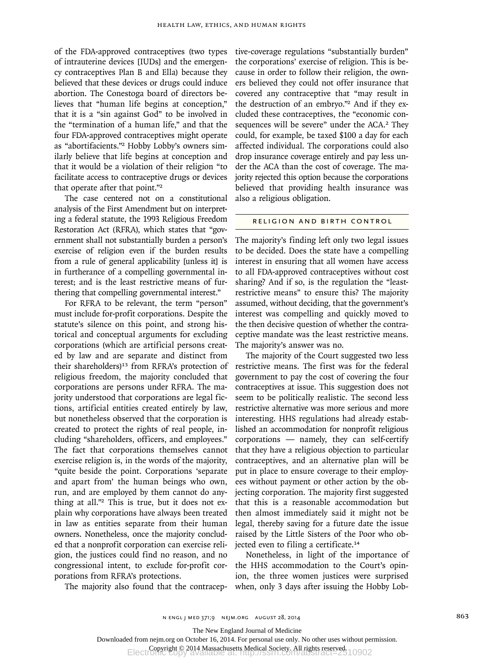of the FDA-approved contraceptives (two types of intrauterine devices [IUDs] and the emergency contraceptives Plan B and Ella) because they believed that these devices or drugs could induce abortion. The Conestoga board of directors believes that "human life begins at conception," that it is a "sin against God" to be involved in the "termination of a human life," and that the four FDA-approved contraceptives might operate as "abortifacients."2 Hobby Lobby's owners similarly believe that life begins at conception and that it would be a violation of their religion "to facilitate access to contraceptive drugs or devices that operate after that point."<sup>2</sup>

The case centered not on a constitutional analysis of the First Amendment but on interpreting a federal statute, the 1993 Religious Freedom Restoration Act (RFRA), which states that "government shall not substantially burden a person's exercise of religion even if the burden results from a rule of general applicability [unless it] is in furtherance of a compelling governmental interest; and is the least restrictive means of furthering that compelling governmental interest."

For RFRA to be relevant, the term "person" must include for-profit corporations. Despite the statute's silence on this point, and strong historical and conceptual arguments for excluding corporations (which are artificial persons created by law and are separate and distinct from their shareholders)<sup>13</sup> from RFRA's protection of religious freedom, the majority concluded that corporations are persons under RFRA. The majority understood that corporations are legal fictions, artificial entities created entirely by law, but nonetheless observed that the corporation is created to protect the rights of real people, including "shareholders, officers, and employees." The fact that corporations themselves cannot exercise religion is, in the words of the majority, "quite beside the point. Corporations 'separate and apart from' the human beings who own, run, and are employed by them cannot do anything at all."2 This is true, but it does not explain why corporations have always been treated in law as entities separate from their human owners. Nonetheless, once the majority concluded that a nonprofit corporation can exercise religion, the justices could find no reason, and no congressional intent, to exclude for-profit corporations from RFRA's protections.

tive-coverage regulations "substantially burden" the corporations' exercise of religion. This is because in order to follow their religion, the owners believed they could not offer insurance that covered any contraceptive that "may result in the destruction of an embryo."2 And if they excluded these contraceptives, the "economic consequences will be severe" under the ACA.<sup>2</sup> They could, for example, be taxed \$100 a day for each affected individual. The corporations could also drop insurance coverage entirely and pay less under the ACA than the cost of coverage. The majority rejected this option because the corporations believed that providing health insurance was also a religious obligation.

### Religion and Birth Control

The majority's finding left only two legal issues to be decided. Does the state have a compelling interest in ensuring that all women have access to all FDA-approved contraceptives without cost sharing? And if so, is the regulation the "leastrestrictive means" to ensure this? The majority assumed, without deciding, that the government's interest was compelling and quickly moved to the then decisive question of whether the contraceptive mandate was the least restrictive means. The majority's answer was no.

The majority of the Court suggested two less restrictive means. The first was for the federal government to pay the cost of covering the four contraceptives at issue. This suggestion does not seem to be politically realistic. The second less restrictive alternative was more serious and more interesting. HHS regulations had already established an accommodation for nonprofit religious corporations — namely, they can self-certify that they have a religious objection to particular contraceptives, and an alternative plan will be put in place to ensure coverage to their employees without payment or other action by the objecting corporation. The majority first suggested that this is a reasonable accommodation but then almost immediately said it might not be legal, thereby saving for a future date the issue raised by the Little Sisters of the Poor who objected even to filing a certificate.<sup>14</sup>

Nonetheless, in light of the importance of the HHS accommodation to the Court's opinion, the three women justices were surprised when, only 3 days after issuing the Hobby Lob-

The majority also found that the contracep-

The New England Journal of Medicine

Downloaded from nejm.org on October 16, 2014. For personal use only. No other uses without permission.

Electronic Copyright © 2014 Massachusetts Medical Society. All rights reserved.<br>Electronic Copy available at: http://SSrn.com/abstract=2510902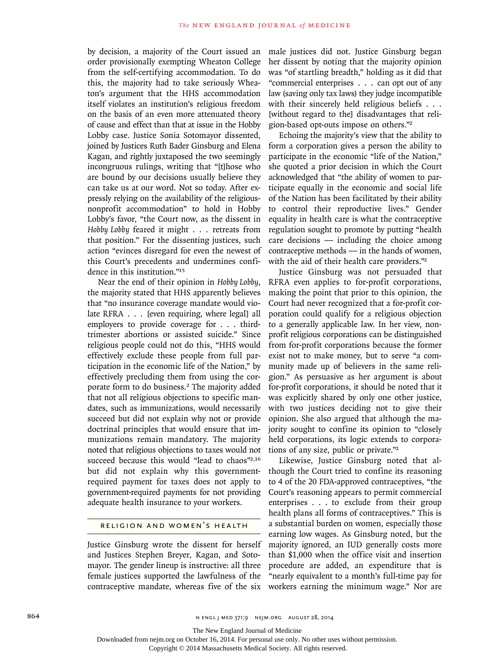by decision, a majority of the Court issued an order provisionally exempting Wheaton College from the self-certifying accommodation. To do this, the majority had to take seriously Wheaton's argument that the HHS accommodation itself violates an institution's religious freedom on the basis of an even more attenuated theory of cause and effect than that at issue in the Hobby Lobby case. Justice Sonia Sotomayor dissented, joined by Justices Ruth Bader Ginsburg and Elena Kagan, and rightly juxtaposed the two seemingly incongruous rulings, writing that "[t]hose who are bound by our decisions usually believe they can take us at our word. Not so today. After expressly relying on the availability of the religiousnonprofit accommodation" to hold in Hobby Lobby's favor, "the Court now, as the dissent in *Hobby Lobby* feared it might . . . retreats from that position." For the dissenting justices, such action "evinces disregard for even the newest of this Court's precedents and undermines confidence in this institution."<sup>15</sup>

Near the end of their opinion in *Hobby Lobby*, the majority stated that HHS apparently believes that "no insurance coverage mandate would violate RFRA . . . [even requiring, where legal] all employers to provide coverage for . . . thirdtrimester abortions or assisted suicide." Since religious people could not do this, "HHS would effectively exclude these people from full participation in the economic life of the Nation," by effectively precluding them from using the corporate form to do business.2 The majority added that not all religious objections to specific mandates, such as immunizations, would necessarily succeed but did not explain why not or provide doctrinal principles that would ensure that immunizations remain mandatory. The majority noted that religious objections to taxes would not succeed because this would "lead to chaos"<sup>2,16</sup> but did not explain why this governmentrequired payment for taxes does not apply to government-required payments for not providing adequate health insurance to your workers.

#### Religion and Women's Health

Justice Ginsburg wrote the dissent for herself and Justices Stephen Breyer, Kagan, and Sotomayor. The gender lineup is instructive: all three female justices supported the lawfulness of the contraceptive mandate, whereas five of the six male justices did not. Justice Ginsburg began her dissent by noting that the majority opinion was "of startling breadth," holding as it did that "commercial enterprises . . . can opt out of any law (saving only tax laws) they judge incompatible with their sincerely held religious beliefs . . . [without regard to the] disadvantages that religion-based opt-outs impose on others."<sup>2</sup>

Echoing the majority's view that the ability to form a corporation gives a person the ability to participate in the economic "life of the Nation," she quoted a prior decision in which the Court acknowledged that "the ability of women to participate equally in the economic and social life of the Nation has been facilitated by their ability to control their reproductive lives." Gender equality in health care is what the contraceptive regulation sought to promote by putting "health care decisions — including the choice among contraceptive methods — in the hands of women, with the aid of their health care providers."<sup>2</sup>

Justice Ginsburg was not persuaded that RFRA even applies to for-profit corporations, making the point that prior to this opinion, the Court had never recognized that a for-profit corporation could qualify for a religious objection to a generally applicable law. In her view, nonprofit religious corporations can be distinguished from for-profit corporations because the former exist not to make money, but to serve "a community made up of believers in the same religion." As persuasive as her argument is about for-profit corporations, it should be noted that it was explicitly shared by only one other justice, with two justices deciding not to give their opinion. She also argued that although the majority sought to confine its opinion to "closely held corporations, its logic extends to corporations of any size, public or private."<sup>2</sup>

Likewise, Justice Ginsburg noted that although the Court tried to confine its reasoning to 4 of the 20 FDA-approved contraceptives, "the Court's reasoning appears to permit commercial enterprises . . . to exclude from their group health plans all forms of contraceptives." This is a substantial burden on women, especially those earning low wages. As Ginsburg noted, but the majority ignored, an IUD generally costs more than \$1,000 when the office visit and insertion procedure are added, an expenditure that is "nearly equivalent to a month's full-time pay for workers earning the minimum wage." Nor are

864 **864** n engl j med 371;9 nejm.org august 28, 2014

Downloaded from nejm.org on October 16, 2014. For personal use only. No other uses without permission.

Copyright © 2014 Massachusetts Medical Society. All rights reserved.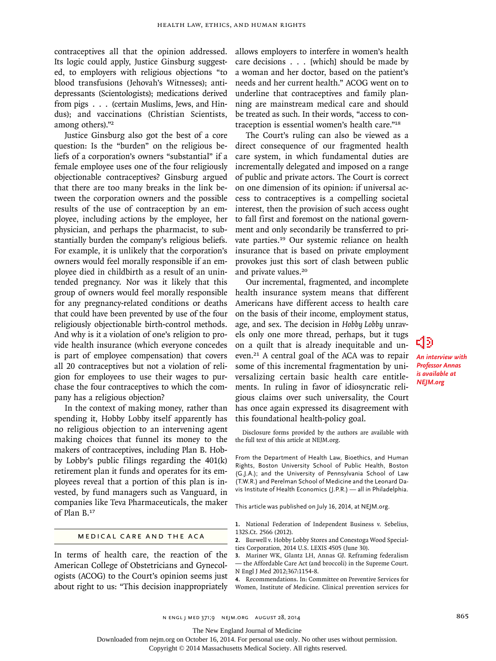contraceptives all that the opinion addressed. Its logic could apply, Justice Ginsburg suggested, to employers with religious objections "to blood transfusions (Jehovah's Witnesses); antidepressants (Scientologists); medications derived from pigs . . . (certain Muslims, Jews, and Hindus); and vaccinations (Christian Scientists, among others)."<sup>2</sup>

Justice Ginsburg also got the best of a core question: Is the "burden" on the religious beliefs of a corporation's owners "substantial" if a female employee uses one of the four religiously objectionable contraceptives? Ginsburg argued that there are too many breaks in the link between the corporation owners and the possible results of the use of contraception by an employee, including actions by the employee, her physician, and perhaps the pharmacist, to substantially burden the company's religious beliefs. For example, it is unlikely that the corporation's owners would feel morally responsible if an employee died in childbirth as a result of an unintended pregnancy. Nor was it likely that this group of owners would feel morally responsible for any pregnancy-related conditions or deaths that could have been prevented by use of the four religiously objectionable birth-control methods. And why is it a violation of one's religion to provide health insurance (which everyone concedes is part of employee compensation) that covers all 20 contraceptives but not a violation of religion for employees to use their wages to purchase the four contraceptives to which the company has a religious objection?

In the context of making money, rather than spending it, Hobby Lobby itself apparently has no religious objection to an intervening agent making choices that funnel its money to the makers of contraceptives, including Plan B. Hobby Lobby's public filings regarding the 401(k) retirement plan it funds and operates for its employees reveal that a portion of this plan is invested, by fund managers such as Vanguard, in companies like Teva Pharmaceuticals, the maker of Plan B.<sup>17</sup>

#### Medical Care and the ACA

In terms of health care, the reaction of the American College of Obstetricians and Gynecologists (ACOG) to the Court's opinion seems just about right to us: "This decision inappropriately allows employers to interfere in women's health care decisions . . . [which] should be made by a woman and her doctor, based on the patient's needs and her current health." ACOG went on to underline that contraceptives and family planning are mainstream medical care and should be treated as such. In their words, "access to contraception is essential women's health care."<sup>18</sup>

The Court's ruling can also be viewed as a direct consequence of our fragmented health care system, in which fundamental duties are incrementally delegated and imposed on a range of public and private actors. The Court is correct on one dimension of its opinion: if universal access to contraceptives is a compelling societal interest, then the provision of such access ought to fall first and foremost on the national government and only secondarily be transferred to private parties.19 Our systemic reliance on health insurance that is based on private employment provokes just this sort of clash between public and private values.<sup>20</sup>

Our incremental, fragmented, and incomplete health insurance system means that different Americans have different access to health care on the basis of their income, employment status, age, and sex. The decision in *Hobby Lobby* unravels only one more thread, perhaps, but it tugs on a quilt that is already inequitable and uneven.21 A central goal of the ACA was to repair some of this incremental fragmentation by universalizing certain basic health care entitlements. In ruling in favor of idiosyncratic religious claims over such universality, the Court has once again expressed its disagreement with this foundational health-policy goal.

Disclosure forms provided by the authors are available with the full text of this article at NEJM.org.

From the Department of Health Law, Bioethics, and Human Rights, Boston University School of Public Health, Boston (G.J.A.); and the University of Pennsylvania School of Law (T.W.R.) and Perelman School of Medicine and the Leonard Davis Institute of Health Economics (J.P.R.) — all in Philadelphia.

This article was published on July 16, 2014, at NEJM.org.

**1.** National Federation of Independent Business v. Sebelius, 132S.Ct. 2566 (2012).

**2.** Burwell v. Hobby Lobby Stores and Conestoga Wood Specialties Corporation, 2014 U.S. LEXIS 4505 (June 30).

**3.** Mariner WK, Glantz LH, Annas GJ. Reframing federalism the Affordable Care Act (and broccoli) in the Supreme Court. N Engl J Med 2012;367:1154-8.

**4.** Recommendations. In: Committee on Preventive Services for Women, Institute of Medicine. Clinical prevention services for

The New England Journal of Medicine

Downloaded from nejm.org on October 16, 2014. For personal use only. No other uses without permission.

Copyright © 2014 Massachusetts Medical Society. All rights reserved.